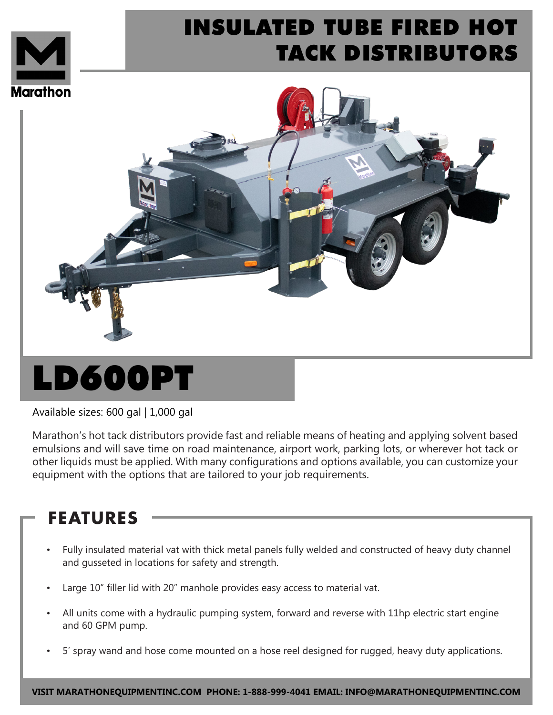

## INSULATED TUBE FIRED HOT TACK DISTRIBUTORS



# LD600PT

Available sizes: 600 gal | 1,000 gal

Marathon's hot tack distributors provide fast and reliable means of heating and applying solvent based emulsions and will save time on road maintenance, airport work, parking lots, or wherever hot tack or other liquids must be applied. With many configurations and options available, you can customize your equipment with the options that are tailored to your job requirements.

#### **FEATURES**

- Fully insulated material vat with thick metal panels fully welded and constructed of heavy duty channel and gusseted in locations for safety and strength.
- Large 10" filler lid with 20" manhole provides easy access to material vat.
- All units come with a hydraulic pumping system, forward and reverse with 11hp electric start engine and 60 GPM pump.
- 5' spray wand and hose come mounted on a hose reel designed for rugged, heavy duty applications.